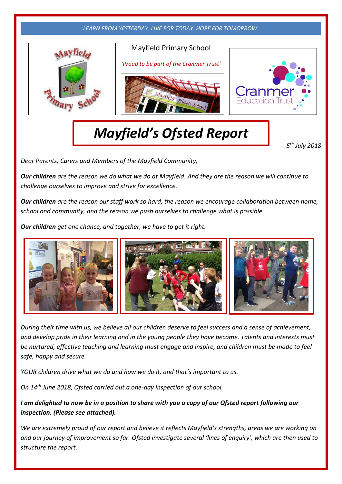

## *Mayfield's Ofsted Report*

*5 th July 2018*

*Dear Parents, Carers and Members of the Mayfield Community, (2018)*

*Our children are the reason we do what we do at Mayfield. And they are the reason we will continue to challenge ourselves to improve and strive for excellence.*

*Our children are the reason our staff work so hard, the reason we encourage collaboration between home, school and community, and the reason we push ourselves to challenge what is possible.*

*Our children get one chance, and together, we have to get it right.*



*During their time with us, we believe all our children deserve to feel success and a sense of achievement, and develop pride in their learning and in the young people they have become. Talents and interests must be nurtured, effective teaching and learning must engage and inspire, and children must be made to feel safe, happy and secure.*

*YOUR children drive what we do and how we do it, and that's important to us.*

*On 14th June 2018, Ofsted carried out a one-day inspection of our school.* 

*I am delighted to now be in a position to share with you a copy of our Ofsted report following our inspection. (Please see attached).*

*We are extremely proud of our report and believe it reflects Mayfield's strengths, areas we are working on and our journey of improvement so far. Ofsted investigate several 'lines of enquiry', which are then used to structure the report.*